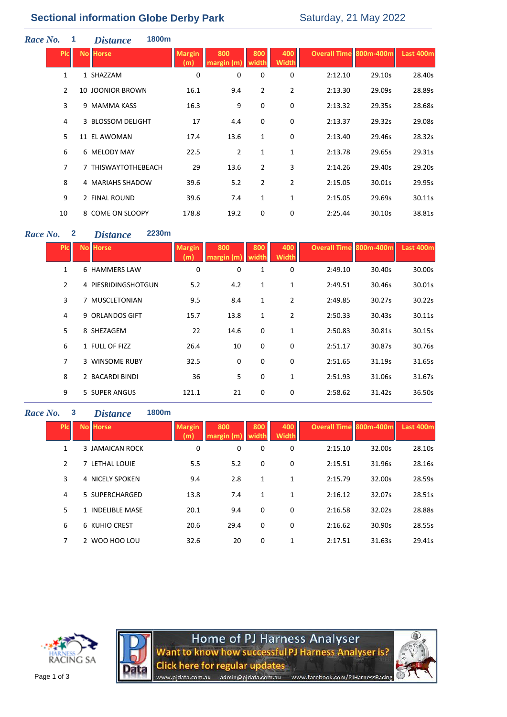# **Sectional information Globe Derby Park** Saturday, 21 May 2022

| Race No. |                | 1 | <i>Distance</i>         | 1800m |                      |                   |                |                     |                               |        |                  |
|----------|----------------|---|-------------------------|-------|----------------------|-------------------|----------------|---------------------|-------------------------------|--------|------------------|
|          | <b>PIcI</b>    |   | <b>No Horse</b>         |       | <b>Margin</b><br>(m) | 800<br>margin (m) | 800<br>width   | 400<br><b>Width</b> | <b>Overall Time 800m-400m</b> |        | <b>Last 400m</b> |
|          | $\mathbf{1}$   |   | 1 SHAZZAM               |       | 0                    | 0                 | 0              | 0                   | 2:12.10                       | 29.10s | 28.40s           |
|          | $\overline{2}$ |   | <b>10 JOONIOR BROWN</b> |       | 16.1                 | 9.4               | $\overline{2}$ | $\overline{2}$      | 2:13.30                       | 29.09s | 28.89s           |
|          | 3              |   | 9 MAMMA KASS            |       | 16.3                 | 9                 | 0              | 0                   | 2:13.32                       | 29.35s | 28.68s           |
|          | 4              |   | 3 BLOSSOM DELIGHT       |       | 17                   | 4.4               | 0              | 0                   | 2:13.37                       | 29.32s | 29.08s           |
|          | 5              |   | 11 EL AWOMAN            |       | 17.4                 | 13.6              | $\mathbf 1$    | 0                   | 2:13.40                       | 29.46s | 28.32s           |
|          | 6              |   | 6 MELODY MAY            |       | 22.5                 | $\overline{2}$    | $\mathbf 1$    | $\mathbf{1}$        | 2:13.78                       | 29.65s | 29.31s           |
|          | $\overline{7}$ |   | 7 THISWAYTOTHEBEACH     |       | 29                   | 13.6              | $\overline{2}$ | 3                   | 2:14.26                       | 29.40s | 29.20s           |
|          | 8              |   | 4 MARIAHS SHADOW        |       | 39.6                 | 5.2               | $\overline{2}$ | $\overline{2}$      | 2:15.05                       | 30.01s | 29.95s           |
|          | 9              |   | 2 FINAL ROUND           |       | 39.6                 | 7.4               | 1              | 1                   | 2:15.05                       | 29.69s | 30.11s           |
|          | 10             |   | 8 COME ON SLOOPY        |       | 178.8                | 19.2              | 0              | 0                   | 2:25.44                       | 30.10s | 38.81s           |

### *Race No.* **2** *Distance* **2230m**

| <b>PIc</b>     | <b>No Horse</b>     | <b>Margin</b><br>(m) | 800<br>margin (m) | 800<br>width | 400<br><b>Width</b> | Overall Time 800m-400m |        | Last 400m |
|----------------|---------------------|----------------------|-------------------|--------------|---------------------|------------------------|--------|-----------|
| $\mathbf{1}$   | 6 HAMMERS LAW       | 0                    | 0                 | 1            | 0                   | 2:49.10                | 30.40s | 30.00s    |
| $\overline{2}$ | 4 PIESRIDINGSHOTGUN | 5.2                  | 4.2               | $\mathbf{1}$ | 1                   | 2:49.51                | 30.46s | 30.01s    |
| 3              | 7 MUSCLETONIAN      | 9.5                  | 8.4               | 1            | $\overline{2}$      | 2:49.85                | 30.27s | 30.22s    |
| 4              | 9 ORLANDOS GIFT     | 15.7                 | 13.8              | 1            | $\overline{2}$      | 2:50.33                | 30.43s | 30.11s    |
| 5              | 8 SHEZAGEM          | 22                   | 14.6              | 0            | $\mathbf{1}$        | 2:50.83                | 30.81s | 30.15s    |
| 6              | 1 FULL OF FIZZ      | 26.4                 | 10                | 0            | 0                   | 2:51.17                | 30.87s | 30.76s    |
| 7              | 3 WINSOME RUBY      | 32.5                 | 0                 | 0            | $\mathbf 0$         | 2:51.65                | 31.19s | 31.65s    |
| 8              | 2 BACARDI BINDI     | 36                   | 5                 | 0            | 1                   | 2:51.93                | 31.06s | 31.67s    |
| 9              | 5 SUPER ANGUS       | 121.1                | 21                | 0            | 0                   | 2:58.62                | 31.42s | 36.50s    |

### *Race No.* **3** *Distance* **1800m**

| <b>PIc</b> | No Horse         | <b>Margin</b><br>(m) | 800<br>margin (m) | 800<br>width | 400<br><b>Width</b> | <b>Overall Time 800m-400m</b> |        | Last 400m |
|------------|------------------|----------------------|-------------------|--------------|---------------------|-------------------------------|--------|-----------|
| 1          | 3 JAMAICAN ROCK  | 0                    | 0                 | 0            | 0                   | 2:15.10                       | 32.00s | 28.10s    |
| 2          | 7 LETHAL LOUIE   | 5.5                  | 5.2               | 0            | 0                   | 2:15.51                       | 31.96s | 28.16s    |
| 3          | 4 NICELY SPOKEN  | 9.4                  | 2.8               | 1            | 1                   | 2:15.79                       | 32.00s | 28.59s    |
| 4          | 5 SUPERCHARGED   | 13.8                 | 7.4               | 1            | 1                   | 2:16.12                       | 32.07s | 28.51s    |
| 5          | 1 INDELIBLE MASE | 20.1                 | 9.4               | 0            | 0                   | 2:16.58                       | 32.02s | 28.88s    |
| 6          | 6 KUHIO CREST    | 20.6                 | 29.4              | 0            | 0                   | 2:16.62                       | 30.90s | 28.55s    |
| 7          | 2 WOO HOO LOU    | 32.6                 | 20                | 0            | 1                   | 2:17.51                       | 31.63s | 29.41s    |



Home of PJ Harness Analyser<br>Want to know how successful PJ Harness Analyser is? **Click here for regular updates** www.pjdata.com.au admin@pjdata.com.au www.facebook.com/PJHarnessRacing

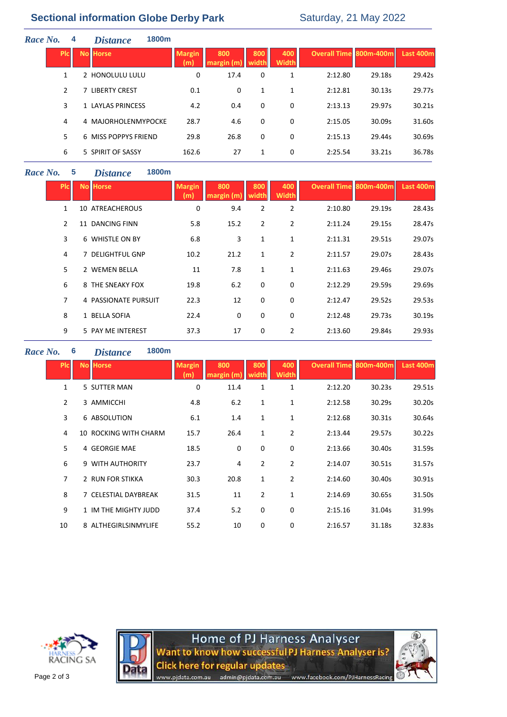# **Sectional information Globe Derby Park** Saturday, 21 May 2022

| Race No. |              | 4 | <b>Distance</b>      | 1800m |                      |                   |                     |                     |                               |        |           |
|----------|--------------|---|----------------------|-------|----------------------|-------------------|---------------------|---------------------|-------------------------------|--------|-----------|
|          | <b>PIC</b>   |   | <b>No Horse</b>      |       | <b>Margin</b><br>(m) | 800<br>margin (m) | 800<br><b>width</b> | 400<br><b>Width</b> | <b>Overall Time 800m-400m</b> |        | Last 400m |
|          | $\mathbf{1}$ |   | 2 HONOLULU LULU      |       | 0                    | 17.4              | 0                   | 1                   | 2:12.80                       | 29.18s | 29.42s    |
|          | 2            |   | 7 LIBERTY CREST      |       | 0.1                  | 0                 | 1                   | $\mathbf{1}$        | 2:12.81                       | 30.13s | 29.77s    |
|          | 3            |   | 1 LAYLAS PRINCESS    |       | 4.2                  | 0.4               | 0                   | 0                   | 2:13.13                       | 29.97s | 30.21s    |
|          | 4            |   | 4 MAJORHOLENMYPOCKE  |       | 28.7                 | 4.6               | 0                   | 0                   | 2:15.05                       | 30.09s | 31.60s    |
|          | 5            |   | 6 MISS POPPYS FRIEND |       | 29.8                 | 26.8              | 0                   | 0                   | 2:15.13                       | 29.44s | 30.69s    |
|          | 6            |   | 5 SPIRIT OF SASSY    |       | 162.6                | 27                | 1                   | 0                   | 2:25.54                       | 33.21s | 36.78s    |
|          |              |   |                      |       |                      |                   |                     |                     |                               |        |           |

#### *Race No.* **5** *Distance* **1800m**

| <b>PIC</b>     | <b>No Horse</b>      | <b>Margin</b><br>(m) | 800<br>margin (m) | 800<br>width   | 400<br><b>Width</b> | <b>Overall Time 800m-400m</b> |        | <b>Last 400m</b> |
|----------------|----------------------|----------------------|-------------------|----------------|---------------------|-------------------------------|--------|------------------|
| $\mathbf{1}$   | 10 ATREACHEROUS      | 0                    | 9.4               | $\overline{2}$ | $\overline{2}$      | 2:10.80                       | 29.19s | 28.43s           |
| $\overline{2}$ | 11 DANCING FINN      | 5.8                  | 15.2              | $\overline{2}$ | 2                   | 2:11.24                       | 29.15s | 28.47s           |
| 3              | 6 WHISTLE ON BY      | 6.8                  | 3                 | 1              | 1                   | 2:11.31                       | 29.51s | 29.07s           |
| 4              | 7 DELIGHTFUL GNP     | 10.2                 | 21.2              | $\mathbf{1}$   | $\overline{2}$      | 2:11.57                       | 29.07s | 28.43s           |
| 5              | 2 WEMEN BELLA        | 11                   | 7.8               | 1              | $\mathbf{1}$        | 2:11.63                       | 29.46s | 29.07s           |
| 6              | 8 THE SNEAKY FOX     | 19.8                 | 6.2               | 0              | $\Omega$            | 2:12.29                       | 29.59s | 29.69s           |
| 7              | 4 PASSIONATE PURSUIT | 22.3                 | 12                | 0              | 0                   | 2:12.47                       | 29.52s | 29.53s           |
| 8              | 1 BELLA SOFIA        | 22.4                 | 0                 | 0              | 0                   | 2:12.48                       | 29.73s | 30.19s           |
| 9              | 5 PAY ME INTEREST    | 37.3                 | 17                | 0              | $\overline{2}$      | 2:13.60                       | 29.84s | 29.93s           |

#### *Race No.* **6** *Distance* **1800m**

| <b>PIC</b>     | <b>No Horse</b>       | <b>Margin</b><br>(m) | 800  | 800<br>width   | 400<br><b>Width</b> | <b>Overall Time 800m-400m</b> |        | Last 400m |
|----------------|-----------------------|----------------------|------|----------------|---------------------|-------------------------------|--------|-----------|
| $\mathbf{1}$   | 5 SUTTER MAN          | 0                    | 11.4 | 1              | 1                   | 2:12.20                       | 30.23s | 29.51s    |
| $\overline{2}$ | 3 AMMICCHI            | 4.8                  | 6.2  | 1              | 1                   | 2:12.58                       | 30.29s | 30.20s    |
| 3              | 6 ABSOLUTION          | 6.1                  | 1.4  | 1              | 1                   | 2:12.68                       | 30.31s | 30.64s    |
| 4              | 10 ROCKING WITH CHARM | 15.7                 | 26.4 | 1              | $\overline{2}$      | 2:13.44                       | 29.57s | 30.22s    |
| 5              | 4 GEORGIE MAE         | 18.5                 | 0    | 0              | 0                   | 2:13.66                       | 30.40s | 31.59s    |
| 6              | 9 WITH AUTHORITY      | 23.7                 | 4    | $\overline{2}$ | $\overline{2}$      | 2:14.07                       | 30.51s | 31.57s    |
| $\overline{7}$ | 2 RUN FOR STIKKA      | 30.3                 | 20.8 | 1              | $\overline{2}$      | 2:14.60                       | 30.40s | 30.91s    |
| 8              | 7 CELESTIAL DAYBREAK  | 31.5                 | 11   | $\overline{2}$ | 1                   | 2:14.69                       | 30.65s | 31.50s    |
| 9              | 1 IM THE MIGHTY JUDD  | 37.4                 | 5.2  | 0              | 0                   | 2:15.16                       | 31.04s | 31.99s    |
| 10             | 8 ALTHEGIRLSINMYLIFE  | 55.2                 | 10   | 0              | 0                   | 2:16.57                       | 31.18s | 32.83s    |
|                |                       |                      |      |                |                     |                               |        |           |





Home of PJ Harness Analyser<br>Want to know how successful PJ Harness Analyser is? Click here for regular updates<br>www.pjdata.com.au admin@pjdata.com.au www.facebook.com/PJHarnessRacing